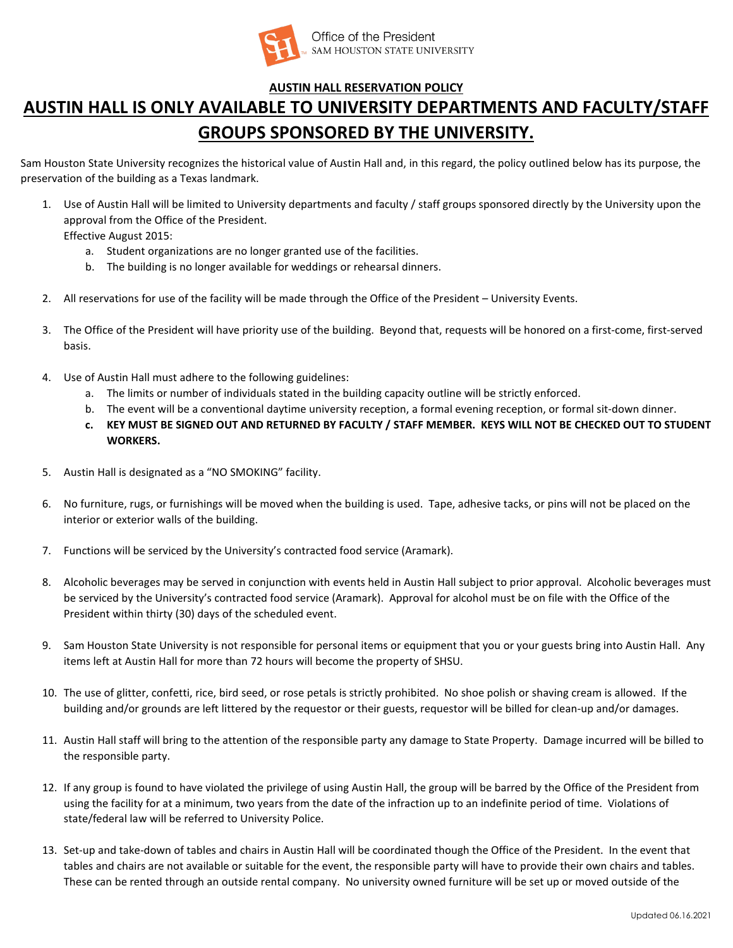

## **AUSTIN HALL RESERVATION POLICY**

## **AUSTIN HALL IS ONLY AVAILABLE TO UNIVERSITY DEPARTMENTS AND FACULTY/STAFF GROUPS SPONSORED BY THE UNIVERSITY.**

Sam Houston State University recognizes the historical value of Austin Hall and, in this regard, the policy outlined below has its purpose, the preservation of the building as a Texas landmark.

- 1. Use of Austin Hall will be limited to University departments and faculty / staff groups sponsored directly by the University upon the approval from the Office of the President.
	- Effective August 2015:
		- a. Student organizations are no longer granted use of the facilities.
		- b. The building is no longer available for weddings or rehearsal dinners.
- 2. All reservations for use of the facility will be made through the Office of the President University Events.
- 3. The Office of the President will have priority use of the building. Beyond that, requests will be honored on a first-come, first-served basis.
- 4. Use of Austin Hall must adhere to the following guidelines:
	- a. The limits or number of individuals stated in the building capacity outline will be strictly enforced.
	- b. The event will be a conventional daytime university reception, a formal evening reception, or formal sit-down dinner.
	- **c. KEY MUST BE SIGNED OUT AND RETURNED BY FACULTY / STAFF MEMBER. KEYS WILL NOT BE CHECKED OUT TO STUDENT WORKERS.**
- 5. Austin Hall is designated as a "NO SMOKING" facility.
- 6. No furniture, rugs, or furnishings will be moved when the building is used. Tape, adhesive tacks, or pins will not be placed on the interior or exterior walls of the building.
- 7. Functions will be serviced by the University's contracted food service (Aramark).
- 8. Alcoholic beverages may be served in conjunction with events held in Austin Hall subject to prior approval. Alcoholic beverages must be serviced by the University's contracted food service (Aramark). Approval for alcohol must be on file with the Office of the President within thirty (30) days of the scheduled event.
- 9. Sam Houston State University is not responsible for personal items or equipment that you or your guests bring into Austin Hall. Any items left at Austin Hall for more than 72 hours will become the property of SHSU.
- 10. The use of glitter, confetti, rice, bird seed, or rose petals is strictly prohibited. No shoe polish or shaving cream is allowed. If the building and/or grounds are left littered by the requestor or their guests, requestor will be billed for clean-up and/or damages.
- 11. Austin Hall staff will bring to the attention of the responsible party any damage to State Property. Damage incurred will be billed to the responsible party.
- 12. If any group is found to have violated the privilege of using Austin Hall, the group will be barred by the Office of the President from using the facility for at a minimum, two years from the date of the infraction up to an indefinite period of time. Violations of state/federal law will be referred to University Police.
- 13. Set-up and take-down of tables and chairs in Austin Hall will be coordinated though the Office of the President. In the event that tables and chairs are not available or suitable for the event, the responsible party will have to provide their own chairs and tables. These can be rented through an outside rental company. No university owned furniture will be set up or moved outside of the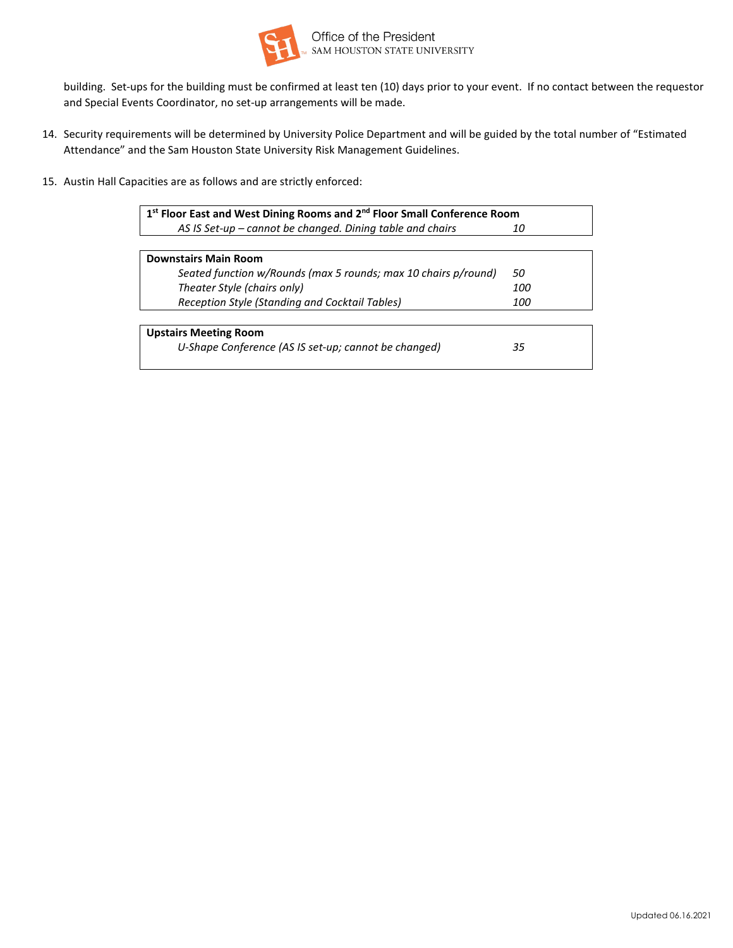

building. Set-ups for the building must be confirmed at least ten (10) days prior to your event. If no contact between the requestor and Special Events Coordinator, no set-up arrangements will be made.

- 14. Security requirements will be determined by University Police Department and will be guided by the total number of "Estimated Attendance" and the Sam Houston State University Risk Management Guidelines.
- 15. Austin Hall Capacities are as follows and are strictly enforced:

| 1st Floor East and West Dining Rooms and 2 <sup>nd</sup> Floor Small Conference Room |            |  |  |  |  |  |  |
|--------------------------------------------------------------------------------------|------------|--|--|--|--|--|--|
| AS IS Set-up – cannot be changed. Dining table and chairs                            | 10         |  |  |  |  |  |  |
|                                                                                      |            |  |  |  |  |  |  |
| <b>Downstairs Main Room</b>                                                          |            |  |  |  |  |  |  |
| Seated function w/Rounds (max 5 rounds; max 10 chairs p/round)                       | 50         |  |  |  |  |  |  |
| Theater Style (chairs only)                                                          | <i>100</i> |  |  |  |  |  |  |
| Reception Style (Standing and Cocktail Tables)                                       | <i>100</i> |  |  |  |  |  |  |
|                                                                                      |            |  |  |  |  |  |  |
| <b>Upstairs Meeting Room</b>                                                         |            |  |  |  |  |  |  |
| U-Shape Conference (AS IS set-up; cannot be changed)                                 | 35         |  |  |  |  |  |  |
|                                                                                      |            |  |  |  |  |  |  |